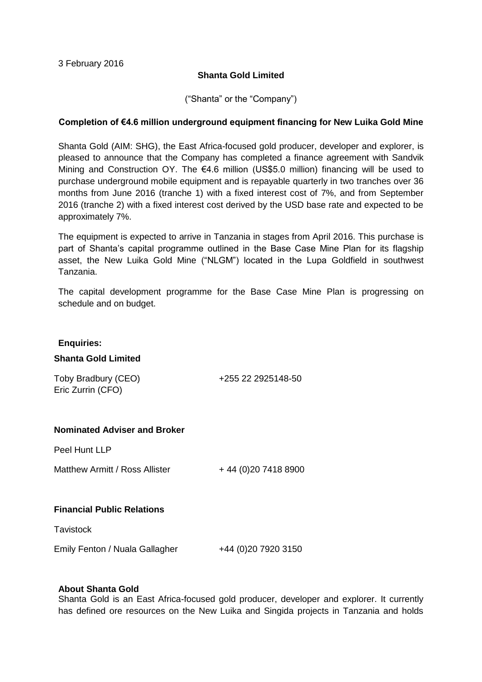## **Shanta Gold Limited**

("Shanta" or the "Company")

## **Completion of €4.6 million underground equipment financing for New Luika Gold Mine**

Shanta Gold (AIM: SHG), the East Africa-focused gold producer, developer and explorer, is pleased to announce that the Company has completed a finance agreement with Sandvik Mining and Construction OY. The €4.6 million (US\$5.0 million) financing will be used to purchase underground mobile equipment and is repayable quarterly in two tranches over 36 months from June 2016 (tranche 1) with a fixed interest cost of 7%, and from September 2016 (tranche 2) with a fixed interest cost derived by the USD base rate and expected to be approximately 7%.

The equipment is expected to arrive in Tanzania in stages from April 2016. This purchase is part of Shanta's capital programme outlined in the Base Case Mine Plan for its flagship asset, the New Luika Gold Mine ("NLGM") located in the Lupa Goldfield in southwest Tanzania.

The capital development programme for the Base Case Mine Plan is progressing on schedule and on budget.

#### **Enquiries:**

### **Shanta Gold Limited**

Toby Bradbury (CEO) +255 22 2925148-50 Eric Zurrin (CFO)

### **Nominated Adviser and Broker**

Peel Hunt LLP

Matthew Armitt / Ross Allister  $+44(0)2074188900$ 

# **Financial Public Relations**

**Tavistock** 

Emily Fenton / Nuala Gallagher +44 (0)20 7920 3150

### **About Shanta Gold**

Shanta Gold is an East Africa-focused gold producer, developer and explorer. It currently has defined ore resources on the New Luika and Singida projects in Tanzania and holds